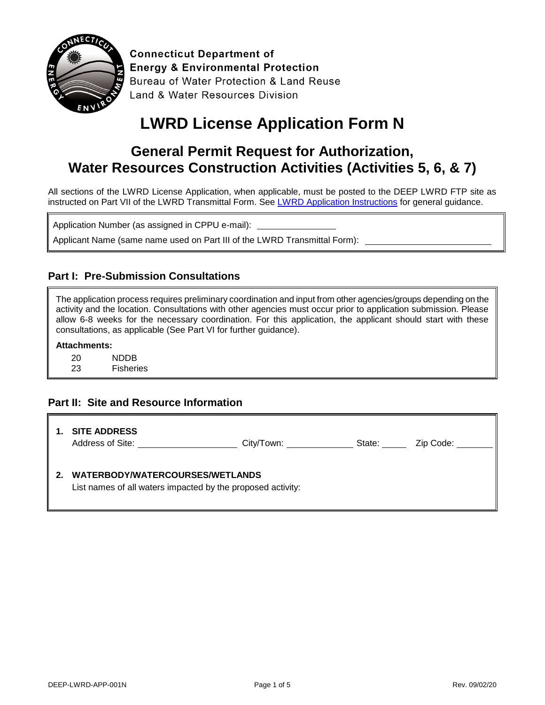

**Connecticut Department of Energy & Environmental Protection** Bureau of Water Protection & Land Reuse Land & Water Resources Division

# **LWRD License Application Form N**

# **General Permit Request for Authorization, Water Resources Construction Activities (Activities 5, 6, & 7)**

All sections of the LWRD License Application, when applicable, must be posted to the DEEP LWRD FTP site as instructed on Part VII of the LWRD Transmittal Form. Se[e LWRD Application Instructions](https://www.ct.gov/deep/lib/deep/Permits_and_Licenses/Land_Use_Permits/LWRD/lwrd_inst.pdf) for general guidance.

Application Number (as assigned in CPPU e-mail):

Applicant Name (same name used on Part III of the LWRD Transmittal Form):

#### **Part I: Pre-Submission Consultations**

The application process requires preliminary coordination and input from other agencies/groups depending on the activity and the location. Consultations with other agencies must occur prior to application submission. Please allow 6-8 weeks for the necessary coordination. For this application, the applicant should start with these consultations, as applicable (See Part VI for further guidance).

#### **Attachments:**

20 NDDB

23 Fisheries

#### **Part II: Site and Resource Information**

|         | <b>SITE ADDRESS</b><br>Address of Site:                                                        | City/Town: | State: | Zip Code: |
|---------|------------------------------------------------------------------------------------------------|------------|--------|-----------|
| $2_{-}$ | WATERBODY/WATERCOURSES/WETLANDS<br>List names of all waters impacted by the proposed activity: |            |        |           |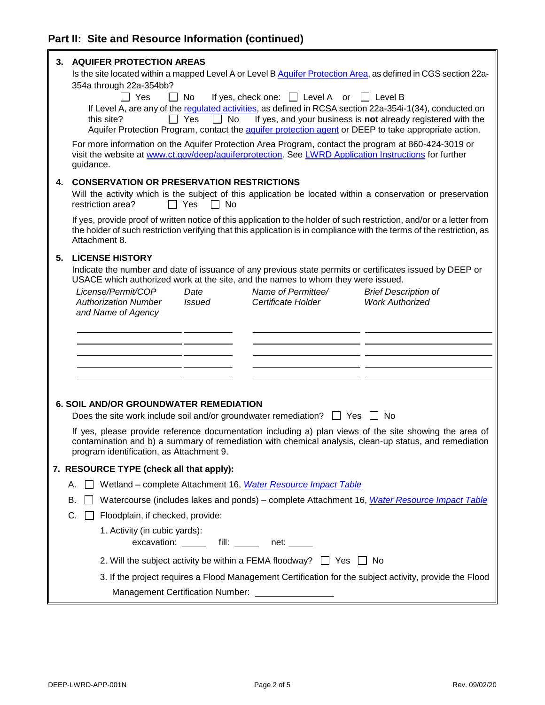| 3. | <b>AQUIFER PROTECTION AREAS</b><br>Is the site located within a mapped Level A or Level B Aquifer Protection Area, as defined in CGS section 22a-<br>354a through 22a-354bb?                                                                                     |  |  |
|----|------------------------------------------------------------------------------------------------------------------------------------------------------------------------------------------------------------------------------------------------------------------|--|--|
|    | $\Box$ Yes<br>$\Box$ No<br>If yes, check one: $\Box$ Level A or $\Box$ Level B                                                                                                                                                                                   |  |  |
|    | If Level A, are any of the regulated activities, as defined in RCSA section 22a-354i-1(34), conducted on                                                                                                                                                         |  |  |
|    | $\Box$ Yes<br>If yes, and your business is not already registered with the<br>No<br>this site?<br>Aquifer Protection Program, contact the aquifer protection agent or DEEP to take appropriate action.                                                           |  |  |
|    | For more information on the Aquifer Protection Area Program, contact the program at 860-424-3019 or                                                                                                                                                              |  |  |
|    | visit the website at www.ct.gov/deep/aquiferprotection. See LWRD Application Instructions for further<br>guidance.                                                                                                                                               |  |  |
| 4. | <b>CONSERVATION OR PRESERVATION RESTRICTIONS</b>                                                                                                                                                                                                                 |  |  |
|    | Will the activity which is the subject of this application be located within a conservation or preservation<br>restriction area?<br>$\Box$ Yes<br>$\Box$ No                                                                                                      |  |  |
|    | If yes, provide proof of written notice of this application to the holder of such restriction, and/or or a letter from<br>the holder of such restriction verifying that this application is in compliance with the terms of the restriction, as<br>Attachment 8. |  |  |
| 5. | <b>LICENSE HISTORY</b>                                                                                                                                                                                                                                           |  |  |
|    | Indicate the number and date of issuance of any previous state permits or certificates issued by DEEP or<br>USACE which authorized work at the site, and the names to whom they were issued.                                                                     |  |  |
|    | Name of Permittee/<br>License/Permit/COP<br>Date<br><b>Brief Description of</b>                                                                                                                                                                                  |  |  |
|    | <b>Authorization Number</b><br>Certificate Holder<br><b>Work Authorized</b><br><b>Issued</b>                                                                                                                                                                     |  |  |
|    | and Name of Agency                                                                                                                                                                                                                                               |  |  |
|    |                                                                                                                                                                                                                                                                  |  |  |
|    |                                                                                                                                                                                                                                                                  |  |  |
|    |                                                                                                                                                                                                                                                                  |  |  |
|    |                                                                                                                                                                                                                                                                  |  |  |
|    |                                                                                                                                                                                                                                                                  |  |  |
|    | <b>6. SOIL AND/OR GROUNDWATER REMEDIATION</b>                                                                                                                                                                                                                    |  |  |
|    | Does the site work include soil and/or groundwater remediation? $\Box$ Yes $\Box$ No                                                                                                                                                                             |  |  |
|    | If yes, please provide reference documentation including a) plan views of the site showing the area of                                                                                                                                                           |  |  |
|    | contamination and b) a summary of remediation with chemical analysis, clean-up status, and remediation<br>program identification, as Attachment 9.                                                                                                               |  |  |
|    | 7. RESOURCE TYPE (check all that apply):                                                                                                                                                                                                                         |  |  |
| Α. | Wetland - complete Attachment 16, Water Resource Impact Table                                                                                                                                                                                                    |  |  |
| В. | Watercourse (includes lakes and ponds) – complete Attachment 16, Water Resource Impact Table                                                                                                                                                                     |  |  |
| C. | Floodplain, if checked, provide:                                                                                                                                                                                                                                 |  |  |
|    | 1. Activity (in cubic yards):                                                                                                                                                                                                                                    |  |  |
|    | excavation: ______ fill: _____ net: _____                                                                                                                                                                                                                        |  |  |
|    | 2. Will the subject activity be within a FEMA floodway? $\Box$ Yes $\Box$ No                                                                                                                                                                                     |  |  |
|    | 3. If the project requires a Flood Management Certification for the subject activity, provide the Flood                                                                                                                                                          |  |  |
|    | Management Certification Number: __________________                                                                                                                                                                                                              |  |  |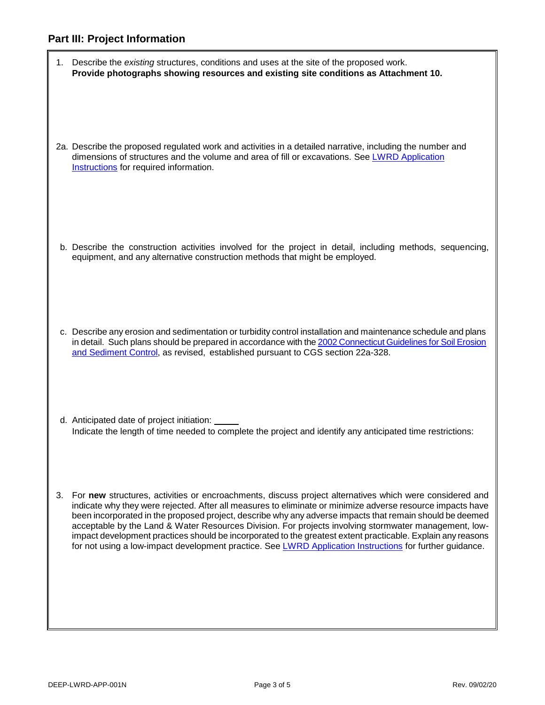|    | 1. Describe the existing structures, conditions and uses at the site of the proposed work.<br>Provide photographs showing resources and existing site conditions as Attachment 10.                                                                                                                                                                                                                                                                                                                                                                                                                                                                                    |
|----|-----------------------------------------------------------------------------------------------------------------------------------------------------------------------------------------------------------------------------------------------------------------------------------------------------------------------------------------------------------------------------------------------------------------------------------------------------------------------------------------------------------------------------------------------------------------------------------------------------------------------------------------------------------------------|
|    | 2a. Describe the proposed regulated work and activities in a detailed narrative, including the number and<br>dimensions of structures and the volume and area of fill or excavations. See LWRD Application<br>Instructions for required information.                                                                                                                                                                                                                                                                                                                                                                                                                  |
|    | b. Describe the construction activities involved for the project in detail, including methods, sequencing,<br>equipment, and any alternative construction methods that might be employed.                                                                                                                                                                                                                                                                                                                                                                                                                                                                             |
|    | c. Describe any erosion and sedimentation or turbidity control installation and maintenance schedule and plans<br>in detail. Such plans should be prepared in accordance with the 2002 Connecticut Guidelines for Soil Erosion<br>and Sediment Control, as revised, established pursuant to CGS section 22a-328.                                                                                                                                                                                                                                                                                                                                                      |
|    | d. Anticipated date of project initiation:<br>Indicate the length of time needed to complete the project and identify any anticipated time restrictions:                                                                                                                                                                                                                                                                                                                                                                                                                                                                                                              |
| 3. | For new structures, activities or encroachments, discuss project alternatives which were considered and<br>indicate why they were rejected. After all measures to eliminate or minimize adverse resource impacts have<br>been incorporated in the proposed project, describe why any adverse impacts that remain should be deemed<br>acceptable by the Land & Water Resources Division. For projects involving stormwater management, low-<br>impact development practices should be incorporated to the greatest extent practicable. Explain any reasons<br>for not using a low-impact development practice. See LWRD Application Instructions for further guidance. |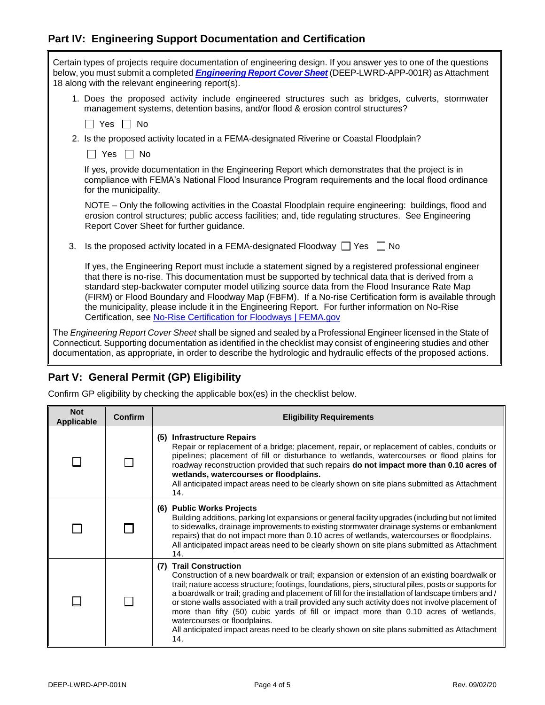## **Part IV: Engineering Support Documentation and Certification**

|                                                                                                                                                                                                                                                                                                                                                             |                       | Certain types of projects require documentation of engineering design. If you answer yes to one of the questions<br>below, you must submit a completed <i>Engineering Report Cover Sheet</i> (DEEP-LWRD-APP-001R) as Attachment<br>18 along with the relevant engineering report(s).                                                                                                                                                                                                                                                                                                               |
|-------------------------------------------------------------------------------------------------------------------------------------------------------------------------------------------------------------------------------------------------------------------------------------------------------------------------------------------------------------|-----------------------|----------------------------------------------------------------------------------------------------------------------------------------------------------------------------------------------------------------------------------------------------------------------------------------------------------------------------------------------------------------------------------------------------------------------------------------------------------------------------------------------------------------------------------------------------------------------------------------------------|
| 1. Does the proposed activity include engineered structures such as bridges, culverts, stormwater<br>management systems, detention basins, and/or flood & erosion control structures?                                                                                                                                                                       |                       |                                                                                                                                                                                                                                                                                                                                                                                                                                                                                                                                                                                                    |
|                                                                                                                                                                                                                                                                                                                                                             | l I Yes I I No        |                                                                                                                                                                                                                                                                                                                                                                                                                                                                                                                                                                                                    |
| 2. Is the proposed activity located in a FEMA-designated Riverine or Coastal Floodplain?                                                                                                                                                                                                                                                                    |                       |                                                                                                                                                                                                                                                                                                                                                                                                                                                                                                                                                                                                    |
|                                                                                                                                                                                                                                                                                                                                                             | $\Box$ Yes $\Box$ No  |                                                                                                                                                                                                                                                                                                                                                                                                                                                                                                                                                                                                    |
|                                                                                                                                                                                                                                                                                                                                                             | for the municipality. | If yes, provide documentation in the Engineering Report which demonstrates that the project is in<br>compliance with FEMA's National Flood Insurance Program requirements and the local flood ordinance                                                                                                                                                                                                                                                                                                                                                                                            |
|                                                                                                                                                                                                                                                                                                                                                             |                       | NOTE - Only the following activities in the Coastal Floodplain require engineering: buildings, flood and<br>erosion control structures; public access facilities; and, tide regulating structures. See Engineering<br>Report Cover Sheet for further guidance.                                                                                                                                                                                                                                                                                                                                     |
|                                                                                                                                                                                                                                                                                                                                                             | 3.                    | Is the proposed activity located in a FEMA-designated Floodway $\Box$ Yes $\Box$ No                                                                                                                                                                                                                                                                                                                                                                                                                                                                                                                |
|                                                                                                                                                                                                                                                                                                                                                             |                       | If yes, the Engineering Report must include a statement signed by a registered professional engineer<br>that there is no-rise. This documentation must be supported by technical data that is derived from a<br>standard step-backwater computer model utilizing source data from the Flood Insurance Rate Map<br>(FIRM) or Flood Boundary and Floodway Map (FBFM). If a No-rise Certification form is available through<br>the municipality, please include it in the Engineering Report. For further information on No-Rise<br>Certification, see No-Rise Certification for Floodways   FEMA.gov |
| The Engineering Report Cover Sheet shall be signed and sealed by a Professional Engineer licensed in the State of<br>Connecticut. Supporting documentation as identified in the checklist may consist of engineering studies and other<br>documentation, as appropriate, in order to describe the hydrologic and hydraulic effects of the proposed actions. |                       |                                                                                                                                                                                                                                                                                                                                                                                                                                                                                                                                                                                                    |

# **Part V: General Permit (GP) Eligibility**

Confirm GP eligibility by checking the applicable box(es) in the checklist below.

| <b>Not</b><br><b>Applicable</b> | <b>Confirm</b> | <b>Eligibility Requirements</b>                                                                                                                                                                                                                                                                                                                                                                                                                                                                                                                                                                                                                                         |
|---------------------------------|----------------|-------------------------------------------------------------------------------------------------------------------------------------------------------------------------------------------------------------------------------------------------------------------------------------------------------------------------------------------------------------------------------------------------------------------------------------------------------------------------------------------------------------------------------------------------------------------------------------------------------------------------------------------------------------------------|
|                                 |                | (5) Infrastructure Repairs<br>Repair or replacement of a bridge; placement, repair, or replacement of cables, conduits or<br>pipelines; placement of fill or disturbance to wetlands, watercourses or flood plains for<br>roadway reconstruction provided that such repairs do not impact more than 0.10 acres of<br>wetlands, watercourses or floodplains.<br>All anticipated impact areas need to be clearly shown on site plans submitted as Attachment<br>14.                                                                                                                                                                                                       |
|                                 |                | (6) Public Works Projects<br>Building additions, parking lot expansions or general facility upgrades (including but not limited<br>to sidewalks, drainage improvements to existing stormwater drainage systems or embankment<br>repairs) that do not impact more than 0.10 acres of wetlands, watercourses or floodplains.<br>All anticipated impact areas need to be clearly shown on site plans submitted as Attachment<br>14.                                                                                                                                                                                                                                        |
|                                 |                | (7) Trail Construction<br>Construction of a new boardwalk or trail; expansion or extension of an existing boardwalk or<br>trail; nature access structure; footings, foundations, piers, structural piles, posts or supports for<br>a boardwalk or trail; grading and placement of fill for the installation of landscape timbers and /<br>or stone walls associated with a trail provided any such activity does not involve placement of<br>more than fifty (50) cubic yards of fill or impact more than 0.10 acres of wetlands,<br>watercourses or floodplains.<br>All anticipated impact areas need to be clearly shown on site plans submitted as Attachment<br>14. |